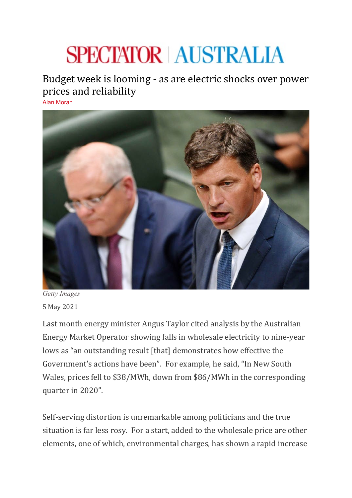## **SPECTATOR AUSTRALIA**

Budget week is looming - as are electric shocks over power prices and reliability [Alan Moran](https://www.spectator.com.au/author/alanmoran/)



*Getty Images* 5 May 2021

Last month energy minister Angus Taylor cited analysis by the Australian Energy Market Operator showing falls in wholesale electricity to nine-year lows as "an outstanding result [that] demonstrates how effective the Government's actions have been". For example, he said, "In New South Wales, prices fell to \$38/MWh, down from \$86/MWh in the corresponding quarter in 2020".

Self-serving distortion is unremarkable among politicians and the true situation is far less rosy. For a start, added to the wholesale price are other elements, one of which, environmental charges, has shown a rapid increase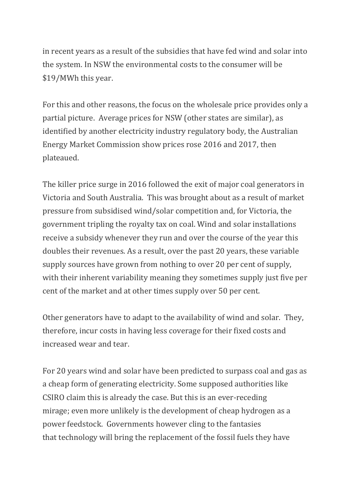in recent years as a result of the subsidies that have fed wind and solar into the system. In NSW the environmental costs to the consumer will be \$19/MWh this year.

For this and other reasons, the focus on the wholesale price provides only a partial picture. Average prices for NSW (other states are similar), as identified by another electricity industry regulatory body, the Australian Energy Market Commission show prices rose 2016 and 2017, then plateaued.

The killer price surge in 2016 followed the exit of major coal generators in Victoria and South Australia. This was brought about as a result of market pressure from subsidised wind/solar competition and, for Victoria, the government tripling the royalty tax on coal. Wind and solar installations receive a subsidy whenever they run and over the course of the year this doubles their revenues. As a result, over the past 20 years, these variable supply sources have grown from nothing to over 20 per cent of supply, with their inherent variability meaning they sometimes supply just five per cent of the market and at other times supply over 50 per cent.

Other generators have to adapt to the availability of wind and solar. They, therefore, incur costs in having less coverage for their fixed costs and increased wear and tear.

For 20 years wind and solar have been predicted to surpass coal and gas as a cheap form of generating electricity. Some supposed authorities like CSIRO claim this is already the case. But this is an ever-receding mirage; even more unlikely is the development of cheap hydrogen as a power feedstock. Governments however cling to the fantasies that technology will bring the replacement of the fossil fuels they have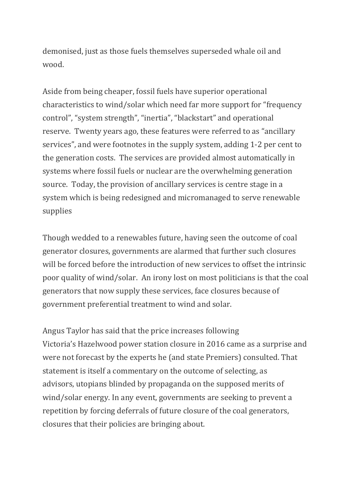demonised, just as those fuels themselves superseded whale oil and wood.

Aside from being cheaper, fossil fuels have superior operational characteristics to wind/solar which need far more support for "frequency control", "system strength", "inertia", "blackstart" and operational reserve. Twenty years ago, these features were referred to as "ancillary services", and were footnotes in the supply system, adding 1-2 per cent to the generation costs. The services are provided almost automatically in systems where fossil fuels or nuclear are the overwhelming generation source. Today, the provision of ancillary services is centre stage in a system which is being redesigned and micromanaged to serve renewable supplies

Though wedded to a renewables future, having seen the outcome of coal generator closures, governments are alarmed that further such closures will be forced before the introduction of new services to offset the intrinsic poor quality of wind/solar. An irony lost on most politicians is that the coal generators that now supply these services, face closures because of government preferential treatment to wind and solar.

Angus Taylor has said that the price increases following Victoria's Hazelwood power station closure in 2016 came as a surprise and were not forecast by the experts he (and state Premiers) consulted. That statement is itself a commentary on the outcome of selecting, as advisors, utopians blinded by propaganda on the supposed merits of wind/solar energy. In any event, governments are seeking to prevent a repetition by forcing deferrals of future closure of the coal generators, closures that their policies are bringing about.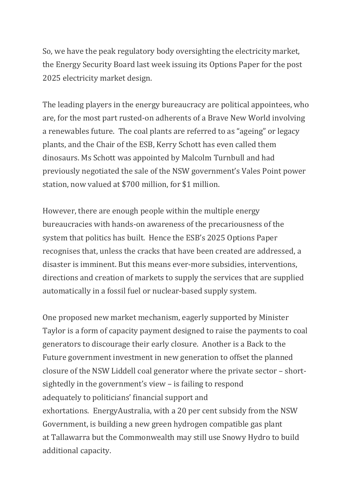So, we have the peak regulatory body oversighting the electricity market, the Energy Security Board last week issuing its Options Paper for the post 2025 electricity market design.

The leading players in the energy bureaucracy are political appointees, who are, for the most part rusted-on adherents of a Brave New World involving a renewables future. The coal plants are referred to as "ageing" or legacy plants, and the Chair of the ESB, Kerry Schott has even called them dinosaurs. Ms Schott was appointed by Malcolm Turnbull and had previously negotiated the sale of the NSW government's Vales Point power station, now valued at \$700 million, for \$1 million.

However, there are enough people within the multiple energy bureaucracies with hands-on awareness of the precariousness of the system that politics has built. Hence the ESB's 2025 Options Paper recognises that, unless the cracks that have been created are addressed, a disaster is imminent. But this means ever-more subsidies, interventions, directions and creation of markets to supply the services that are supplied automatically in a fossil fuel or nuclear-based supply system.

One proposed new market mechanism, eagerly supported by Minister Taylor is a form of capacity payment designed to raise the payments to coal generators to discourage their early closure. Another is a Back to the Future government investment in new generation to offset the planned closure of the NSW Liddell coal generator where the private sector – shortsightedly in the government's view – is failing to respond adequately to politicians' financial support and exhortations. EnergyAustralia, with a 20 per cent subsidy from the NSW Government, is building a new green hydrogen compatible gas plant at Tallawarra but the Commonwealth may still use Snowy Hydro to build additional capacity.